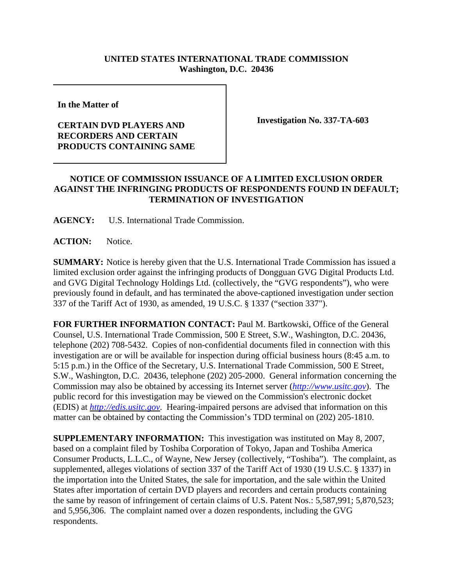## **UNITED STATES INTERNATIONAL TRADE COMMISSION Washington, D.C. 20436**

**In the Matter of**

## **CERTAIN DVD PLAYERS AND RECORDERS AND CERTAIN PRODUCTS CONTAINING SAME**

**Investigation No. 337-TA-603**

## **NOTICE OF COMMISSION ISSUANCE OF A LIMITED EXCLUSION ORDER AGAINST THE INFRINGING PRODUCTS OF RESPONDENTS FOUND IN DEFAULT; TERMINATION OF INVESTIGATION**

**AGENCY:** U.S. International Trade Commission.

**ACTION:** Notice.

**SUMMARY:** Notice is hereby given that the U.S. International Trade Commission has issued a limited exclusion order against the infringing products of Dongguan GVG Digital Products Ltd. and GVG Digital Technology Holdings Ltd. (collectively, the "GVG respondents"), who were previously found in default, and has terminated the above-captioned investigation under section 337 of the Tariff Act of 1930, as amended, 19 U.S.C. § 1337 ("section 337").

**FOR FURTHER INFORMATION CONTACT:** Paul M. Bartkowski, Office of the General Counsel, U.S. International Trade Commission, 500 E Street, S.W., Washington, D.C. 20436, telephone (202) 708-5432. Copies of non-confidential documents filed in connection with this investigation are or will be available for inspection during official business hours (8:45 a.m. to 5:15 p.m.) in the Office of the Secretary, U.S. International Trade Commission, 500 E Street, S.W., Washington, D.C. 20436, telephone (202) 205-2000. General information concerning the Commission may also be obtained by accessing its Internet server (*http://www.usitc.gov*). The public record for this investigation may be viewed on the Commission's electronic docket (EDIS) at *http://edis.usitc.gov*. Hearing-impaired persons are advised that information on this matter can be obtained by contacting the Commission's TDD terminal on (202) 205-1810.

**SUPPLEMENTARY INFORMATION:** This investigation was instituted on May 8, 2007, based on a complaint filed by Toshiba Corporation of Tokyo, Japan and Toshiba America Consumer Products, L.L.C., of Wayne, New Jersey (collectively, "Toshiba"). The complaint, as supplemented, alleges violations of section 337 of the Tariff Act of 1930 (19 U.S.C. § 1337) in the importation into the United States, the sale for importation, and the sale within the United States after importation of certain DVD players and recorders and certain products containing the same by reason of infringement of certain claims of U.S. Patent Nos.: 5,587,991; 5,870,523; and 5,956,306. The complaint named over a dozen respondents, including the GVG respondents.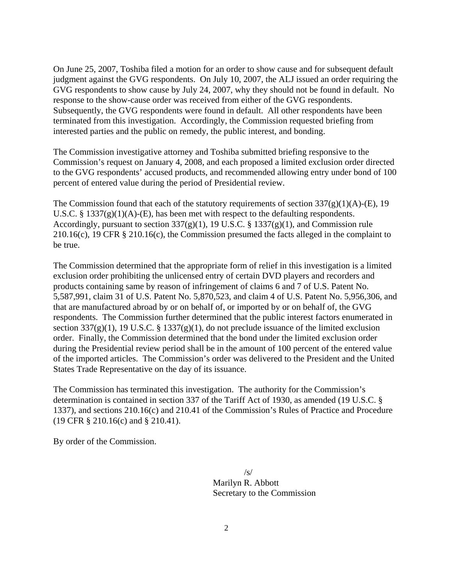On June 25, 2007, Toshiba filed a motion for an order to show cause and for subsequent default judgment against the GVG respondents. On July 10, 2007, the ALJ issued an order requiring the GVG respondents to show cause by July 24, 2007, why they should not be found in default. No response to the show-cause order was received from either of the GVG respondents. Subsequently, the GVG respondents were found in default. All other respondents have been terminated from this investigation. Accordingly, the Commission requested briefing from interested parties and the public on remedy, the public interest, and bonding.

The Commission investigative attorney and Toshiba submitted briefing responsive to the Commission's request on January 4, 2008, and each proposed a limited exclusion order directed to the GVG respondents' accused products, and recommended allowing entry under bond of 100 percent of entered value during the period of Presidential review.

The Commission found that each of the statutory requirements of section  $337(g)(1)(A)$ -(E), 19 U.S.C. §  $1337(g)(1)(A)$ -(E), has been met with respect to the defaulting respondents. Accordingly, pursuant to section  $337(g)(1)$ , 19 U.S.C. § 1337(g)(1), and Commission rule 210.16(c), 19 CFR § 210.16(c), the Commission presumed the facts alleged in the complaint to be true.

The Commission determined that the appropriate form of relief in this investigation is a limited exclusion order prohibiting the unlicensed entry of certain DVD players and recorders and products containing same by reason of infringement of claims 6 and 7 of U.S. Patent No. 5,587,991, claim 31 of U.S. Patent No. 5,870,523, and claim 4 of U.S. Patent No. 5,956,306, and that are manufactured abroad by or on behalf of, or imported by or on behalf of, the GVG respondents. The Commission further determined that the public interest factors enumerated in section 337(g)(1), 19 U.S.C. § 1337(g)(1), do not preclude issuance of the limited exclusion order. Finally, the Commission determined that the bond under the limited exclusion order during the Presidential review period shall be in the amount of 100 percent of the entered value of the imported articles. The Commission's order was delivered to the President and the United States Trade Representative on the day of its issuance.

The Commission has terminated this investigation. The authority for the Commission's determination is contained in section 337 of the Tariff Act of 1930, as amended (19 U.S.C. § 1337), and sections 210.16(c) and 210.41 of the Commission's Rules of Practice and Procedure (19 CFR § 210.16(c) and § 210.41).

By order of the Commission.

 /s/ Marilyn R. Abbott Secretary to the Commission